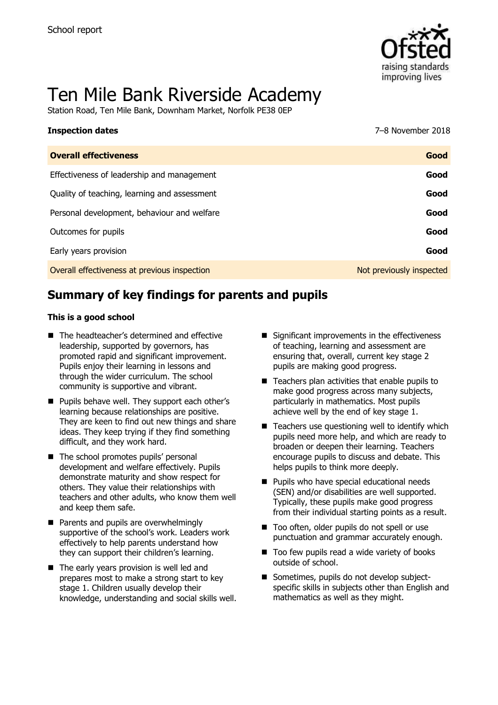

# Ten Mile Bank Riverside Academy

Station Road, Ten Mile Bank, Downham Market, Norfolk PE38 0EP

| <b>Inspection dates</b>                      | 7-8 November 2018        |
|----------------------------------------------|--------------------------|
| <b>Overall effectiveness</b>                 | Good                     |
| Effectiveness of leadership and management   | Good                     |
| Quality of teaching, learning and assessment | Good                     |
| Personal development, behaviour and welfare  | Good                     |
| Outcomes for pupils                          | Good                     |
| Early years provision                        | Good                     |
| Overall effectiveness at previous inspection | Not previously inspected |

# **Summary of key findings for parents and pupils**

#### **This is a good school**

- The headteacher's determined and effective leadership, supported by governors, has promoted rapid and significant improvement. Pupils enjoy their learning in lessons and through the wider curriculum. The school community is supportive and vibrant.
- **Pupils behave well. They support each other's** learning because relationships are positive. They are keen to find out new things and share ideas. They keep trying if they find something difficult, and they work hard.
- The school promotes pupils' personal development and welfare effectively. Pupils demonstrate maturity and show respect for others. They value their relationships with teachers and other adults, who know them well and keep them safe.
- Parents and pupils are overwhelmingly supportive of the school's work. Leaders work effectively to help parents understand how they can support their children's learning.
- The early years provision is well led and prepares most to make a strong start to key stage 1. Children usually develop their knowledge, understanding and social skills well.
- $\blacksquare$  Significant improvements in the effectiveness of teaching, learning and assessment are ensuring that, overall, current key stage 2 pupils are making good progress.
- $\blacksquare$  Teachers plan activities that enable pupils to make good progress across many subjects, particularly in mathematics. Most pupils achieve well by the end of key stage 1.
- $\blacksquare$  Teachers use questioning well to identify which pupils need more help, and which are ready to broaden or deepen their learning. Teachers encourage pupils to discuss and debate. This helps pupils to think more deeply.
- **Pupils who have special educational needs** (SEN) and/or disabilities are well supported. Typically, these pupils make good progress from their individual starting points as a result.
- Too often, older pupils do not spell or use punctuation and grammar accurately enough.
- Too few pupils read a wide variety of books outside of school.
- Sometimes, pupils do not develop subjectspecific skills in subjects other than English and mathematics as well as they might.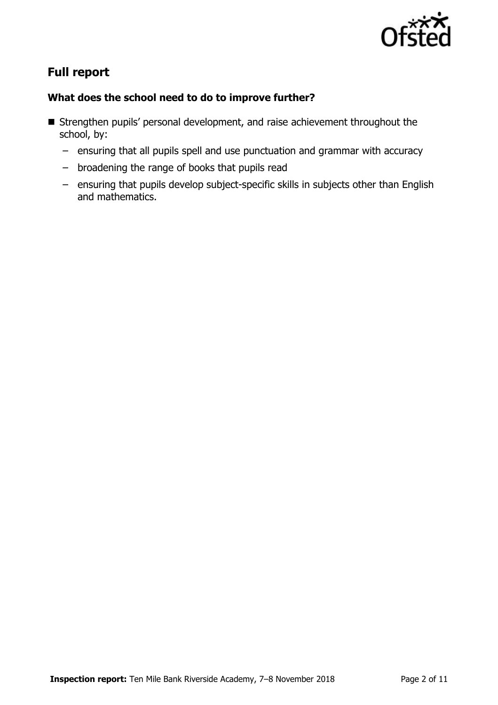

# **Full report**

### **What does the school need to do to improve further?**

- Strengthen pupils' personal development, and raise achievement throughout the school, by:
	- ensuring that all pupils spell and use punctuation and grammar with accuracy
	- broadening the range of books that pupils read
	- ensuring that pupils develop subject-specific skills in subjects other than English and mathematics.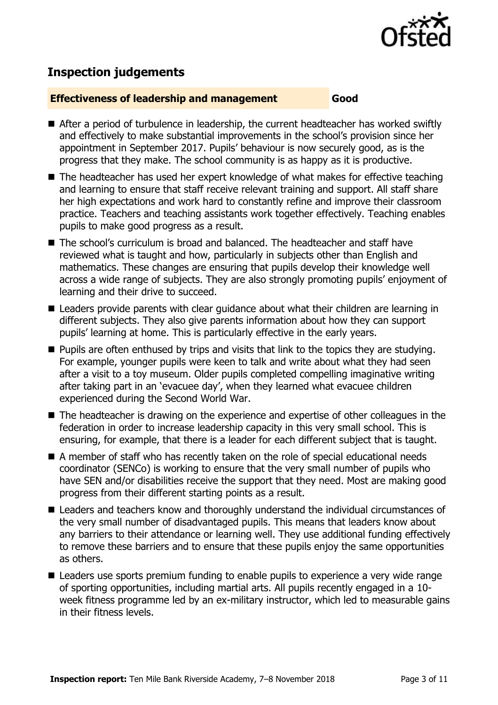

# **Inspection judgements**

#### **Effectiveness of leadership and management Good**

- After a period of turbulence in leadership, the current headteacher has worked swiftly and effectively to make substantial improvements in the school's provision since her appointment in September 2017. Pupils' behaviour is now securely good, as is the progress that they make. The school community is as happy as it is productive.
- The headteacher has used her expert knowledge of what makes for effective teaching and learning to ensure that staff receive relevant training and support. All staff share her high expectations and work hard to constantly refine and improve their classroom practice. Teachers and teaching assistants work together effectively. Teaching enables pupils to make good progress as a result.
- The school's curriculum is broad and balanced. The headteacher and staff have reviewed what is taught and how, particularly in subjects other than English and mathematics. These changes are ensuring that pupils develop their knowledge well across a wide range of subjects. They are also strongly promoting pupils' enjoyment of learning and their drive to succeed.
- Leaders provide parents with clear guidance about what their children are learning in different subjects. They also give parents information about how they can support pupils' learning at home. This is particularly effective in the early years.
- **Pupils are often enthused by trips and visits that link to the topics they are studying.** For example, younger pupils were keen to talk and write about what they had seen after a visit to a toy museum. Older pupils completed compelling imaginative writing after taking part in an 'evacuee day', when they learned what evacuee children experienced during the Second World War.
- The headteacher is drawing on the experience and expertise of other colleagues in the federation in order to increase leadership capacity in this very small school. This is ensuring, for example, that there is a leader for each different subject that is taught.
- A member of staff who has recently taken on the role of special educational needs coordinator (SENCo) is working to ensure that the very small number of pupils who have SEN and/or disabilities receive the support that they need. Most are making good progress from their different starting points as a result.
- Leaders and teachers know and thoroughly understand the individual circumstances of the very small number of disadvantaged pupils. This means that leaders know about any barriers to their attendance or learning well. They use additional funding effectively to remove these barriers and to ensure that these pupils enjoy the same opportunities as others.
- Leaders use sports premium funding to enable pupils to experience a very wide range of sporting opportunities, including martial arts. All pupils recently engaged in a 10 week fitness programme led by an ex-military instructor, which led to measurable gains in their fitness levels.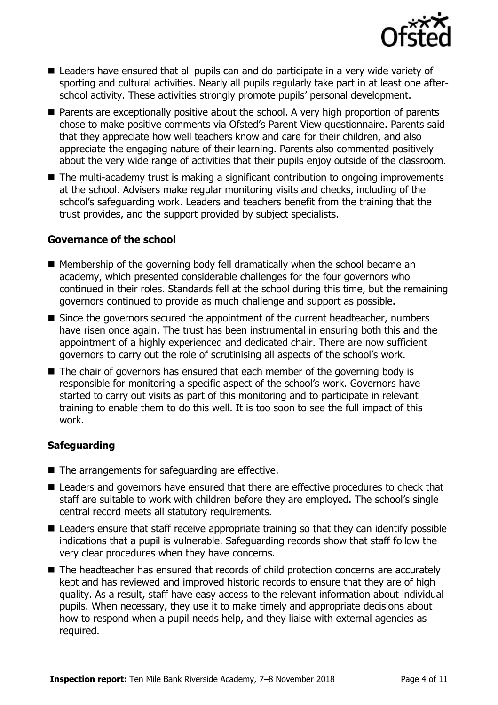

- Leaders have ensured that all pupils can and do participate in a very wide variety of sporting and cultural activities. Nearly all pupils regularly take part in at least one afterschool activity. These activities strongly promote pupils' personal development.
- **Parents are exceptionally positive about the school. A very high proportion of parents** chose to make positive comments via Ofsted's Parent View questionnaire. Parents said that they appreciate how well teachers know and care for their children, and also appreciate the engaging nature of their learning. Parents also commented positively about the very wide range of activities that their pupils enjoy outside of the classroom.
- The multi-academy trust is making a significant contribution to ongoing improvements at the school. Advisers make regular monitoring visits and checks, including of the school's safeguarding work. Leaders and teachers benefit from the training that the trust provides, and the support provided by subject specialists.

#### **Governance of the school**

- Membership of the governing body fell dramatically when the school became an academy, which presented considerable challenges for the four governors who continued in their roles. Standards fell at the school during this time, but the remaining governors continued to provide as much challenge and support as possible.
- Since the governors secured the appointment of the current headteacher, numbers have risen once again. The trust has been instrumental in ensuring both this and the appointment of a highly experienced and dedicated chair. There are now sufficient governors to carry out the role of scrutinising all aspects of the school's work.
- The chair of governors has ensured that each member of the governing body is responsible for monitoring a specific aspect of the school's work. Governors have started to carry out visits as part of this monitoring and to participate in relevant training to enable them to do this well. It is too soon to see the full impact of this work.

#### **Safeguarding**

- The arrangements for safeguarding are effective.
- Leaders and governors have ensured that there are effective procedures to check that staff are suitable to work with children before they are employed. The school's single central record meets all statutory requirements.
- Leaders ensure that staff receive appropriate training so that they can identify possible indications that a pupil is vulnerable. Safeguarding records show that staff follow the very clear procedures when they have concerns.
- The headteacher has ensured that records of child protection concerns are accurately kept and has reviewed and improved historic records to ensure that they are of high quality. As a result, staff have easy access to the relevant information about individual pupils. When necessary, they use it to make timely and appropriate decisions about how to respond when a pupil needs help, and they liaise with external agencies as required.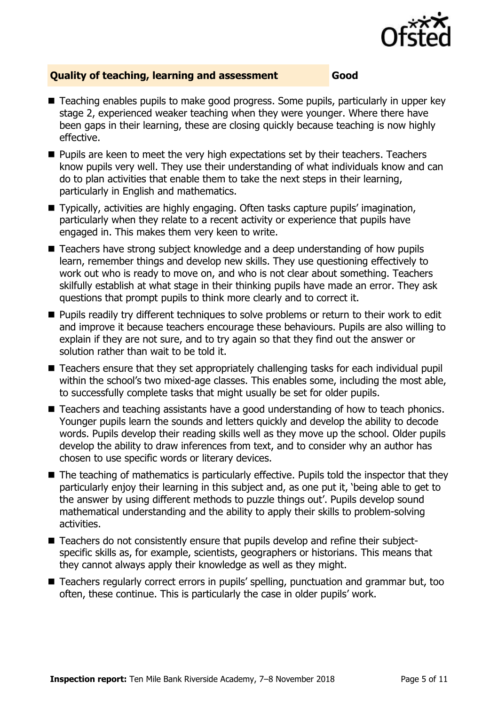

#### **Quality of teaching, learning and assessment Good**

- Teaching enables pupils to make good progress. Some pupils, particularly in upper key stage 2, experienced weaker teaching when they were younger. Where there have been gaps in their learning, these are closing quickly because teaching is now highly effective.
- **Pupils are keen to meet the very high expectations set by their teachers. Teachers** know pupils very well. They use their understanding of what individuals know and can do to plan activities that enable them to take the next steps in their learning, particularly in English and mathematics.
- Typically, activities are highly engaging. Often tasks capture pupils' imagination, particularly when they relate to a recent activity or experience that pupils have engaged in. This makes them very keen to write.
- Teachers have strong subject knowledge and a deep understanding of how pupils learn, remember things and develop new skills. They use questioning effectively to work out who is ready to move on, and who is not clear about something. Teachers skilfully establish at what stage in their thinking pupils have made an error. They ask questions that prompt pupils to think more clearly and to correct it.
- **Pupils readily try different techniques to solve problems or return to their work to edit** and improve it because teachers encourage these behaviours. Pupils are also willing to explain if they are not sure, and to try again so that they find out the answer or solution rather than wait to be told it.
- Teachers ensure that they set appropriately challenging tasks for each individual pupil within the school's two mixed-age classes. This enables some, including the most able, to successfully complete tasks that might usually be set for older pupils.
- Teachers and teaching assistants have a good understanding of how to teach phonics. Younger pupils learn the sounds and letters quickly and develop the ability to decode words. Pupils develop their reading skills well as they move up the school. Older pupils develop the ability to draw inferences from text, and to consider why an author has chosen to use specific words or literary devices.
- The teaching of mathematics is particularly effective. Pupils told the inspector that they particularly enjoy their learning in this subject and, as one put it, 'being able to get to the answer by using different methods to puzzle things out'. Pupils develop sound mathematical understanding and the ability to apply their skills to problem-solving activities.
- Teachers do not consistently ensure that pupils develop and refine their subjectspecific skills as, for example, scientists, geographers or historians. This means that they cannot always apply their knowledge as well as they might.
- Teachers regularly correct errors in pupils' spelling, punctuation and grammar but, too often, these continue. This is particularly the case in older pupils' work.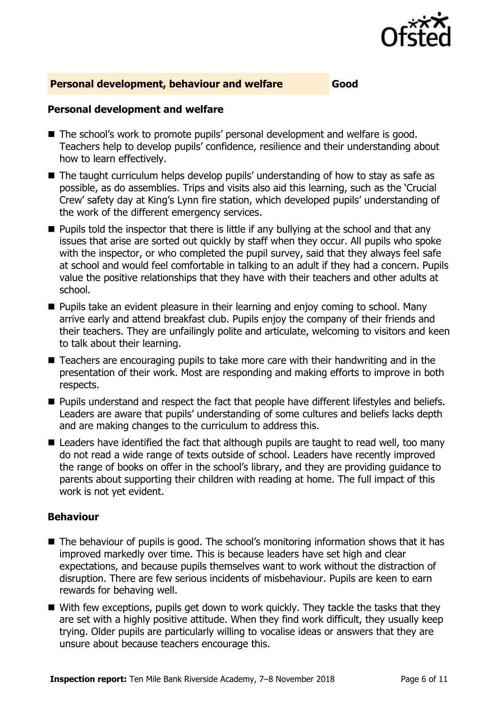

#### **Personal development, behaviour and welfare Good**

#### **Personal development and welfare**

- The school's work to promote pupils' personal development and welfare is good. Teachers help to develop pupils' confidence, resilience and their understanding about how to learn effectively.
- The taught curriculum helps develop pupils' understanding of how to stay as safe as possible, as do assemblies. Trips and visits also aid this learning, such as the 'Crucial Crew' safety day at King's Lynn fire station, which developed pupils' understanding of the work of the different emergency services.
- **Pupils told the inspector that there is little if any bullying at the school and that any** issues that arise are sorted out quickly by staff when they occur. All pupils who spoke with the inspector, or who completed the pupil survey, said that they always feel safe at school and would feel comfortable in talking to an adult if they had a concern. Pupils value the positive relationships that they have with their teachers and other adults at school.
- **Pupils take an evident pleasure in their learning and enjoy coming to school. Many** arrive early and attend breakfast club. Pupils enjoy the company of their friends and their teachers. They are unfailingly polite and articulate, welcoming to visitors and keen to talk about their learning.
- Teachers are encouraging pupils to take more care with their handwriting and in the presentation of their work. Most are responding and making efforts to improve in both respects.
- **Pupils understand and respect the fact that people have different lifestyles and beliefs.** Leaders are aware that pupils' understanding of some cultures and beliefs lacks depth and are making changes to the curriculum to address this.
- Leaders have identified the fact that although pupils are taught to read well, too many do not read a wide range of texts outside of school. Leaders have recently improved the range of books on offer in the school's library, and they are providing guidance to parents about supporting their children with reading at home. The full impact of this work is not yet evident.

#### **Behaviour**

- The behaviour of pupils is good. The school's monitoring information shows that it has improved markedly over time. This is because leaders have set high and clear expectations, and because pupils themselves want to work without the distraction of disruption. There are few serious incidents of misbehaviour. Pupils are keen to earn rewards for behaving well.
- With few exceptions, pupils get down to work guickly. They tackle the tasks that they are set with a highly positive attitude. When they find work difficult, they usually keep trying. Older pupils are particularly willing to vocalise ideas or answers that they are unsure about because teachers encourage this.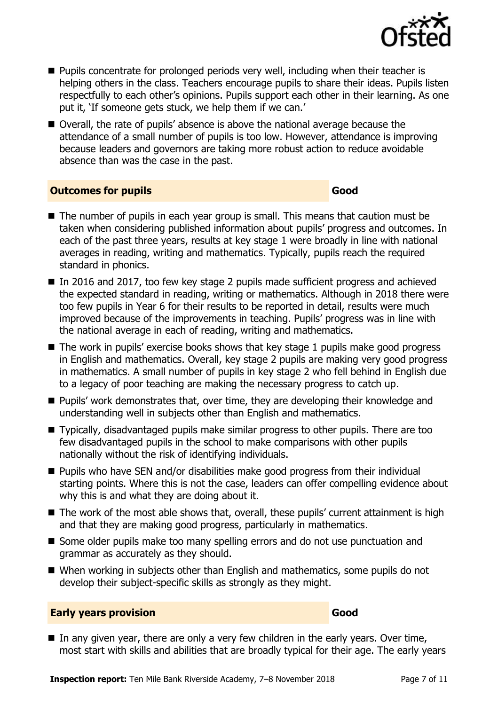

- **Pupils concentrate for prolonged periods very well, including when their teacher is** helping others in the class. Teachers encourage pupils to share their ideas. Pupils listen respectfully to each other's opinions. Pupils support each other in their learning. As one put it, 'If someone gets stuck, we help them if we can.'
- Overall, the rate of pupils' absence is above the national average because the attendance of a small number of pupils is too low. However, attendance is improving because leaders and governors are taking more robust action to reduce avoidable absence than was the case in the past.

#### **Outcomes for pupils Good**

- The number of pupils in each year group is small. This means that caution must be taken when considering published information about pupils' progress and outcomes. In each of the past three years, results at key stage 1 were broadly in line with national averages in reading, writing and mathematics. Typically, pupils reach the required standard in phonics.
- In 2016 and 2017, too few key stage 2 pupils made sufficient progress and achieved the expected standard in reading, writing or mathematics. Although in 2018 there were too few pupils in Year 6 for their results to be reported in detail, results were much improved because of the improvements in teaching. Pupils' progress was in line with the national average in each of reading, writing and mathematics.
- $\blacksquare$  The work in pupils' exercise books shows that key stage 1 pupils make good progress in English and mathematics. Overall, key stage 2 pupils are making very good progress in mathematics. A small number of pupils in key stage 2 who fell behind in English due to a legacy of poor teaching are making the necessary progress to catch up.
- **Pupils' work demonstrates that, over time, they are developing their knowledge and** understanding well in subjects other than English and mathematics.
- Typically, disadvantaged pupils make similar progress to other pupils. There are too few disadvantaged pupils in the school to make comparisons with other pupils nationally without the risk of identifying individuals.
- Pupils who have SEN and/or disabilities make good progress from their individual starting points. Where this is not the case, leaders can offer compelling evidence about why this is and what they are doing about it.
- The work of the most able shows that, overall, these pupils' current attainment is high and that they are making good progress, particularly in mathematics.
- Some older pupils make too many spelling errors and do not use punctuation and grammar as accurately as they should.
- When working in subjects other than English and mathematics, some pupils do not develop their subject-specific skills as strongly as they might.

#### **Early years provision Good**

 $\blacksquare$  In any given year, there are only a very few children in the early years. Over time, most start with skills and abilities that are broadly typical for their age. The early years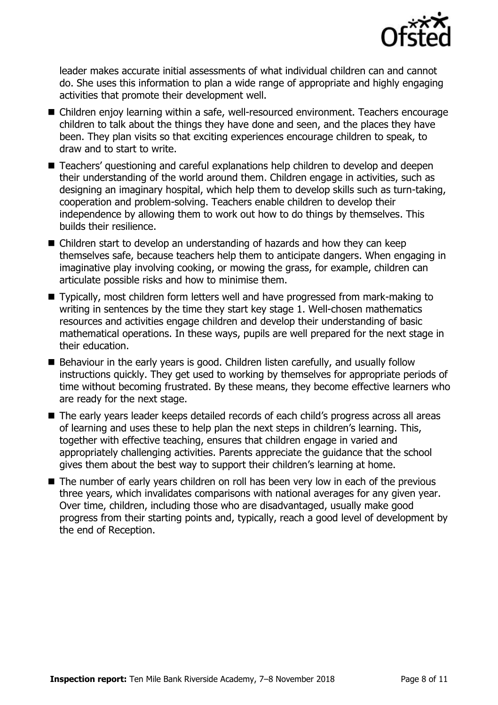

leader makes accurate initial assessments of what individual children can and cannot do. She uses this information to plan a wide range of appropriate and highly engaging activities that promote their development well.

- Children enjoy learning within a safe, well-resourced environment. Teachers encourage children to talk about the things they have done and seen, and the places they have been. They plan visits so that exciting experiences encourage children to speak, to draw and to start to write.
- Teachers' questioning and careful explanations help children to develop and deepen their understanding of the world around them. Children engage in activities, such as designing an imaginary hospital, which help them to develop skills such as turn-taking, cooperation and problem-solving. Teachers enable children to develop their independence by allowing them to work out how to do things by themselves. This builds their resilience.
- Children start to develop an understanding of hazards and how they can keep themselves safe, because teachers help them to anticipate dangers. When engaging in imaginative play involving cooking, or mowing the grass, for example, children can articulate possible risks and how to minimise them.
- Typically, most children form letters well and have progressed from mark-making to writing in sentences by the time they start key stage 1. Well-chosen mathematics resources and activities engage children and develop their understanding of basic mathematical operations. In these ways, pupils are well prepared for the next stage in their education.
- Behaviour in the early years is good. Children listen carefully, and usually follow instructions quickly. They get used to working by themselves for appropriate periods of time without becoming frustrated. By these means, they become effective learners who are ready for the next stage.
- The early years leader keeps detailed records of each child's progress across all areas of learning and uses these to help plan the next steps in children's learning. This, together with effective teaching, ensures that children engage in varied and appropriately challenging activities. Parents appreciate the guidance that the school gives them about the best way to support their children's learning at home.
- The number of early years children on roll has been very low in each of the previous three years, which invalidates comparisons with national averages for any given year. Over time, children, including those who are disadvantaged, usually make good progress from their starting points and, typically, reach a good level of development by the end of Reception.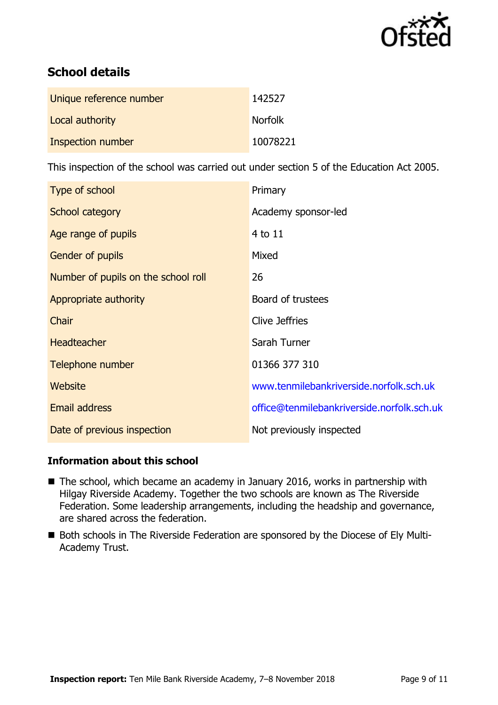

# **School details**

| Unique reference number | 142527         |
|-------------------------|----------------|
| Local authority         | <b>Norfolk</b> |
| Inspection number       | 10078221       |

This inspection of the school was carried out under section 5 of the Education Act 2005.

| Type of school                      | Primary                                    |
|-------------------------------------|--------------------------------------------|
| School category                     | Academy sponsor-led                        |
| Age range of pupils                 | 4 to 11                                    |
| <b>Gender of pupils</b>             | Mixed                                      |
| Number of pupils on the school roll | 26                                         |
| Appropriate authority               | Board of trustees                          |
| Chair                               | Clive Jeffries                             |
| <b>Headteacher</b>                  | Sarah Turner                               |
| Telephone number                    | 01366 377 310                              |
| <b>Website</b>                      | www.tenmilebankriverside.norfolk.sch.uk    |
| <b>Email address</b>                | office@tenmilebankriverside.norfolk.sch.uk |
| Date of previous inspection         | Not previously inspected                   |

### **Information about this school**

- The school, which became an academy in January 2016, works in partnership with Hilgay Riverside Academy. Together the two schools are known as The Riverside Federation. Some leadership arrangements, including the headship and governance, are shared across the federation.
- Both schools in The Riverside Federation are sponsored by the Diocese of Ely Multi-Academy Trust.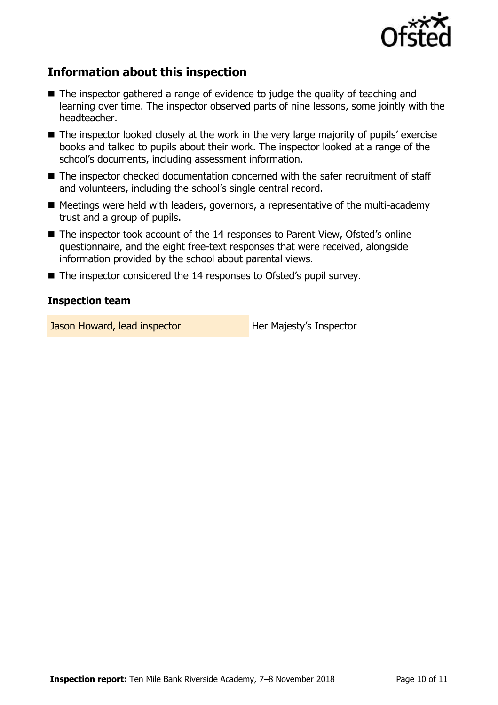

# **Information about this inspection**

- The inspector gathered a range of evidence to judge the quality of teaching and learning over time. The inspector observed parts of nine lessons, some jointly with the headteacher.
- The inspector looked closely at the work in the very large majority of pupils' exercise books and talked to pupils about their work. The inspector looked at a range of the school's documents, including assessment information.
- The inspector checked documentation concerned with the safer recruitment of staff and volunteers, including the school's single central record.
- $\blacksquare$  Meetings were held with leaders, governors, a representative of the multi-academy trust and a group of pupils.
- The inspector took account of the 14 responses to Parent View, Ofsted's online questionnaire, and the eight free-text responses that were received, alongside information provided by the school about parental views.
- The inspector considered the 14 responses to Ofsted's pupil survey.

#### **Inspection team**

Jason Howard, lead inspector **Her Majesty's Inspector**